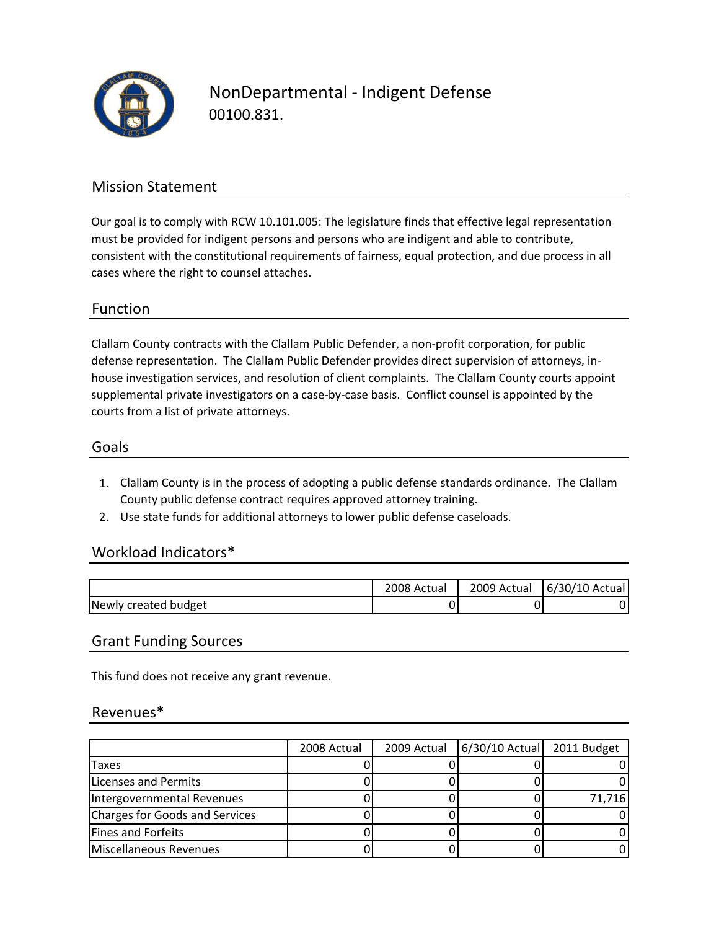

NonDepartmental ‐ Indigent Defense 00100.831.

## Mission Statement

Our goal is to comply with RCW 10.101.005: The legislature finds that effective legal representation must be provided for indigent persons and persons who are indigent and able to contribute, consistent with the constitutional requirements of fairness, equal protection, and due process in all cases where the right to counsel attaches.

## Function

Clallam County contracts with the Clallam Public Defender, a non‐profit corporation, for public defense representation. The Clallam Public Defender provides direct supervision of attorneys, in‐ house investigation services, and resolution of client complaints. The Clallam County courts appoint supplemental private investigators on a case-by-case basis. Conflict counsel is appointed by the courts from a list of private attorneys.

### Goals

- 1. Clallam County is in the process of adopting a public defense standards ordinance. The Clallam County public defense contract requires approved attorney training.
- 2. Use state funds for additional attorneys to lower public defense caseloads.

## Workload Indicators\*

|                      | 2008 Actual | 2009 Actual | 6/30/10 Actual |
|----------------------|-------------|-------------|----------------|
| Newly created budget | ີ           |             |                |

#### Grant Funding Sources

This fund does not receive any grant revenue.

#### Revenues\*

|                                       | 2008 Actual | 2009 Actual | 6/30/10 Actual 2011 Budget |        |
|---------------------------------------|-------------|-------------|----------------------------|--------|
| Taxes                                 |             |             |                            |        |
| Licenses and Permits                  |             |             |                            |        |
| Intergovernmental Revenues            |             |             |                            | 71,716 |
| <b>Charges for Goods and Services</b> |             |             |                            |        |
| <b>Fines and Forfeits</b>             |             |             |                            |        |
| Miscellaneous Revenues                |             |             |                            |        |